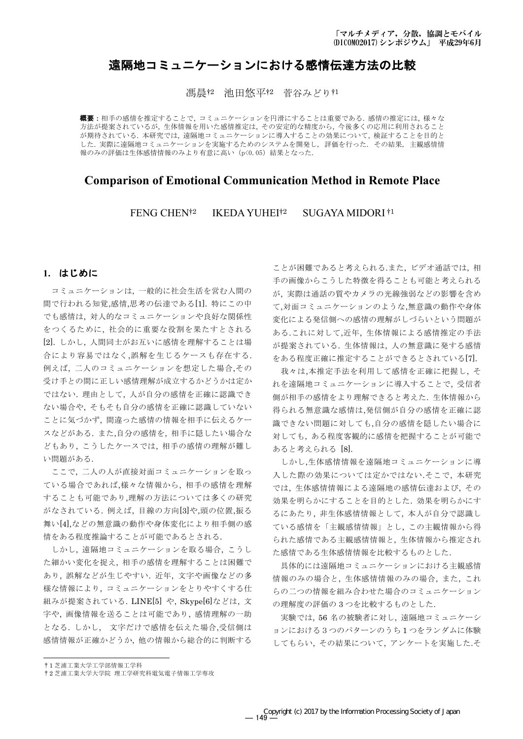# 遠隔地コミュニケーションにおける感情伝達方法の比較

馮晨ね 池田悠平ね 菅谷みどりれ

**概要**:相手の感情を推定することで、コミュニケーションを円滑にすることは重要である. 感情の推定には、様々な 方法が提案されているが、生体情報を用いた感情推定は、その安定的な精度から、今後多くの応用に利用されること が期待されている。本研究では、遠隔地コミュニケーションに導入することの効果について、検証することを目的と した. 実際に遠隔地コミュニケーションを実施するためのシステムを開発し、評価を行った. その結果, 主観感情情 報のみの評価は生体感情情報のみより有意に高い (p<0.05) 結果となった.

# **Comparison of Emotional Communication Method in Remote Place**

FENG CHEN<sup>†2</sup> **IKEDA YUHEI**<sup>†2</sup> SUGAYA MIDORI<sup>†1</sup>

# 1. はじめに

コミュニケーションは、一般的に社会生活を営む人間の 間で行われる知覚,感情,思考の伝達である[1]. 特にこの中 でも感情は、対人的なコミュニケーションや良好な関係性 をつくるために、社会的に重要な役割を果たすとされる [2]. しかし、人間同士がお互いに感情を理解することは場 合により容易ではなく,誤解を生じるケースも存在する. 例えば、二人のコミュニケーションを想定した場合,その 受け手との間に正しい感情理解が成立するかどうかは定か ではない. 理由として、人が自分の感情を正確に認識でき ない場合や、そもそも自分の感情を正確に認識していない ことに気づかず、間違った感情の情報を相手に伝えるケー スなどがある. また,自分の感情を, 相手に隠したい場合な どもあり、こうしたケースでは、相手の感情の理解が難し い問題がある.

ここで、二人の人が直接対面コミュニケーションを取っ ている場合であれば,様々な情報から,相手の感情を理解 することも可能であり,理解の方法については多くの研究 がなされている. 例えば、目線の方向[3]や,頭の位置,振る 舞い[4],などの無意識の動作や身体変化により相手側の感 情をある程度推論することが可能であるとされる.

しかし、遠隔地コミュニケーションを取る場合、こうし た細かい変化を捉え、相手の感情を理解することは困難で あり、誤解などが生じやすい. 近年、文字や画像などの多 様な情報により、コミュニケーションをとりやすくする仕 組みが提案されている. LINE[5] や, Skype[6]などは, 文 字や、画像情報を送ることは可能であり、感情理解の一助 となる. しかし、 文字だけで感情を伝えた場合,受信側は 感情情報が正確かどうか、他の情報から総合的に判断する

ことが困難であると考えられる.また、ビデオ通話では、相 手の画像からこうした特徴を得ることも可能と考えられる が、実際は通話の質やカメラの光線強弱などの影響を含め て,対面コミュニケーションのような,無意識の動作や身体 変化による発信側への感情の理解がしづらいという問題が ある.これに対して,近年,生体情報による感情推定の手法 が提案されている. 生体情報は、人の無意識に発する感情 をある程度正確に推定することができるとされている[7].

我々は,本推定手法を利用して感情を正確に把握し、そ れを遠隔地コミュニケーションに導入することで、受信者 側が相手の感情をより理解できると考えた. 生体情報から 得られる無意識な感情は,発信側が自分の感情を正確に認 識できない問題に対しても,自分の感情を隠したい場合に 対しても、ある程度客観的に感情を把握することが可能で あると考えられる [8].

しかし,生体感情情報を遠隔地コミュニケーションに導 入した際の効果については定かではない.そこで、本研究 では、生体感情情報による遠隔地の感情伝達および、その 効果を明らかにすることを目的とした. 効果を明らかにす るにあたり, 非生体感情情報として、本人が自分で認識し ている感情を「主観感情情報」とし、この主観情報から得 られた感情である主観感情情報と、生体情報から推定され た感情である生体感情情報を比較するものとした.

具体的には遠隔地コミュニケーションにおける主観感情 情報のみの場合と,生体感情情報のみの場合,また,これ らの二つの情報を組み合わせた場合のコミュニケーション の理解度の評価の3つを比較するものとした.

実験では、56名の被験者に対し、遠隔地コミュニケーシ ョンにおける3つのパターンのうち1つをランダムに体験 してもらい、その結果について、アンケートを実施した.そ

<sup>†1</sup> 芝浦工業大学工学部情報工学科

<sup>†2</sup> 芝浦工業大学大学院 理工学研究科電気電子情報工学専攻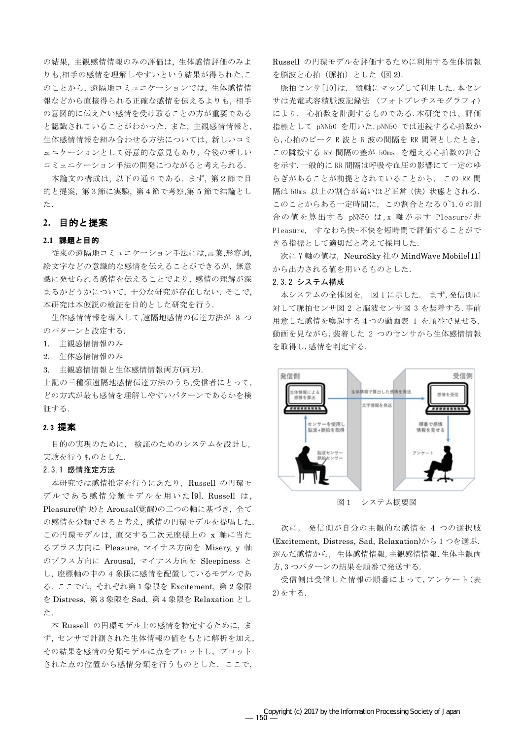の結果、主観感情情報のみの評価は、生体感情評価のみよ りも,相手の感情を理解しやすいという結果が得られた.こ のことから、遠隔地コミュニケーションでは、生体感情情 報などから直接得られる正確な感情を伝えるよりも、相手 の意図的に伝えたい感情を受け取ることの方が重要である と認識されていることがわかった. また、主観感情情報と, 生体感情情報を組み合わせる方法については、新しいコミ ュニケーションとして好意的な意見もあり、今後の新しい コミュニケーション手法の開発につながると考えられる.

本論文の構成は、以下の通りである. まず、第2節で目 的と提案, 第3節に実験, 第4節で考察,第5節で結論とし た.

# 2. 目的と提案

### 2.1 課題と目的

従来の遠隔地コミュニケーション手法には,言葉,形容詞, 絵文字などの意識的な感情を伝えることができるが、無意 識に発せられる感情を伝えることでより、感情の理解が深 まるかどうかについて、十分な研究が存在しない. そこで, 本研究は本仮説の検証を目的とした研究を行う.

生体感情情報を導入して,遠隔地感情の伝達方法が 3 つ のパターンと設定する.

- 1. 主観感情情報のみ
- 2. 生体感情情報のみ
- 3. 主観感情情報と生体感情情報両方(両方).

上記の三種類遠隔地感情伝達方法のうち、受信者にとって、 どの方式が最も感情を理解しやすいパターンであるかを検 証する.

## 2.3 提案

目的の実現のために、検証のためのシステムを設計し、 実験を行うものとした.

### 2.3.1 感情推定方法

本研究では感情推定を行うにあたり、Russell の円環モ デルである感情分類モデルを用いた[9]. Russell は, Pleasure(愉快)と Arousal(覚醒)の二つの軸に基づき、全て の感情を分類できると考え、感情の円環モデルを提唱した. この円環モデルは、直交する二次元座標上の x 軸に当た るプラス方向に Pleasure, マイナス方向を Misery, y 軸 のプラス方向に Arousal, マイナス方向を Sleepiness と し、座標軸の中の 4 象限に感情を配置しているモデルであ る. ここでは、それぞれ第1象限を Excitement, 第2象限 を Distress, 第3象限を Sad, 第4象限を Relaxation とし た.

本 Russell の円環モデル上の感情を特定するために、ま ず、センサで計測された生体情報の値をもとに解析を加え, その結果を感情の分類モデルに点をプロットし、プロット された点の位置から感情分類を行うものとした。ここで、

Russell の円環モデルを評価するために利用する生体情報 を脳波と心拍 (脈拍) とした (図2).

脈拍センサ[10]は、縦軸にマップして利用した. 本セン サは光電式容積脈波記録法 (フォトプレチスモグラフィ) により、心拍数を計測するものである. 本研究では、評価 指標として pNN50 を用いた.pNN50 では連続する心拍数か ら,心拍のピークR波とR波の間隔をRR間隔としたとき, この隣接する RR 間隔の差が 50ms を超える心拍数の割合 を示す. 一般的にRR 間隔は呼吸や血圧の影響にて一定のゆ らぎがあることが前提とされていることから、この RR 間 隔は50ms 以上の割合が高いほど正常(快)状態とされる. このことからある一定時間に、この割合となる 0~1.0 の割 合の値を算出する pNN50 は, x 軸が示す Pleasure/非 Pleasure, すなわち快-不快を短時間で評価することがで きる指標として適切だと考えて採用した.

次に Y 軸の値は、NeuroSkv 社の MindWave Mobile[11] から出力される値を用いるものとした.

#### 2.3.2 システム構成

本システムの全体図を、図1に示した. まず、発信側に 対して脈拍センサ図 2 と脳波センサ図 3 を装着する. 事前 用意した感情を喚起する4つの動画表 1 を順番で見せる. 動画を見ながら,装着した 2 つのセンサから生体感情情報 を取得し,感情を判定する.



図1 システム概要図

次に、発信側が自分の主観的な感情を 4 つの選択肢 (Excitement, Distress, Sad, Relaxation)から1つを選ぶ. 選んだ感情から、生体感情情報,主観感情情報,生体主観両 方.3つパターンの結果を順番で発送する.

受信側は受信した情報の順番によって,アンケート(表 2)をする.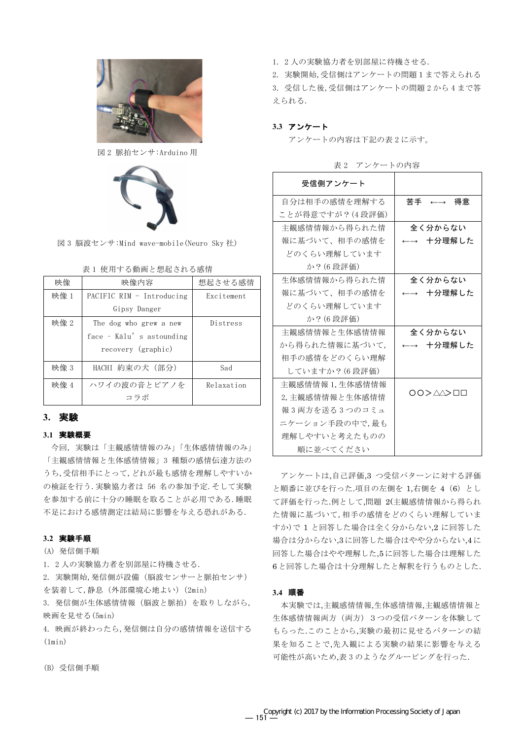

図 2 脈拍センサ:Arduino 用



図 3 脳波センサ:Mind wave-mobile (Neuro Sky 社)

| 映像   | 映像内容                      | 想起させる感情    |
|------|---------------------------|------------|
| 映像 1 | PACIFIC RIM - Introducing | Excitement |
|      | Gipsy Danger              |            |
| 映像 2 | The dog who grew a new    | Distress   |
|      | face - Kalu's astounding  |            |
|      | recovery (graphic)        |            |
| 映像 3 | HACHI 約束の犬(部分)            | Sad        |
| 映像 4 | ハワイの波の音とピアノを              | Relaxation |
|      | コラボ                       |            |

表1 使用する動画と想起される感情

# 3. 実験

#### 3.1 実験概要

今回、実験は「主観感情情報のみ」「生体感情情報のみ」 「主観感情情報と生体感情情報」3 種類の感情伝達方法の うち, 受信相手にとって, どれが最も感情を理解しやすいか の検証を行う. 実験協力者は 56 名の参加予定. そして実験 を参加する前に十分の睡眠を取ることが必用である. 睡眠 不足における感情測定は結局に影響を与える恐れがある.

### 3.2 実験手順

## (A) 発信側手順

1. 2人の実験協力者を別部屋に待機させる.

2. 実験開始、発信側が設備(脳波センサーと脈拍センサ) を装着して,静息 (外部環境心地よい) (2min)

3. 発信側が生体感情情報(脳波と脈拍)を取りしながら, 映画を見せる (5min)

4. 映画が終わったら、発信側は自分の感情情報を送信する  $(\text{lnin})$ 

1. 2人の実験協力者を別部屋に待機させる.

2. 実験開始,受信側はアンケートの問題1まで答えられる 3. 受信した後,受信側はアンケートの問題2から4まで答 えられる.

### 3.3 アンケート

アンケートの内容は下記の表2に示す。

| 受信側アンケート        |                             |
|-----------------|-----------------------------|
| 自分は相手の感情を理解する   | 苦手の←→ 得意                    |
| ことが得意ですが?(4段評価) |                             |
| 主観感情情報から得られた情   | 全く分からない                     |
| 報に基づいて、相手の感情を   | 十分理解した<br>$\longrightarrow$ |
| どのくらい理解しています    |                             |
| か?(6 段評価)       |                             |
| 生体感情情報から得られた情   | 全く分からない                     |
| 報に基づいて、相手の感情を   | 十分理解した                      |
| どのくらい理解しています    |                             |
| か?(6 段評価)       |                             |
| 主観感情情報と生体感情情報   | 全く分からない                     |
| から得られた情報に基づいて,  | 十分理解した                      |
| 相手の感情をどのくらい理解   |                             |
| していますか? (6 段評価) |                             |
| 主観感情情報 1,生体感情情報 |                             |
| 2,主観感情情報と生体感情情  | 00> <i>A</i> A>00           |
| 報3両方を送る3つのコミュ   |                             |
| ニケーション手段の中で, 最も |                             |
| 理解しやすいと考えたものの   |                             |
| 順に並べてください       |                             |

表2 アンケートの内容

アンケートは.自己評価.3 つ受信パターンに対する評価 と順番に並びを行った.項目の左側を 1.右側を 4 (6) とし て評価を行った.例として,問題 2(主観感情情報から得られ た情報に基づいて、相手の感情をどのくらい理解していま すか)で1と回答した場合は全く分からない2に回答した 場合は分からない,3に回答した場合はやや分からない,4に 回答した場合はやや理解した.5に回答した場合は理解した 6と回答した場合は十分理解したと解釈を行うものとした.

## 3.4 順番

本実験では、主観感情情報、生体感情情報、主観感情情報と 生体感情情報両方 (両方) 3つの受信パターンを体験して もらった.このことから.実験の最初に見せるパターンの結 果を知ることで,先入観による実験の結果に影響を与える 可能性が高いため,表3のようなグルーピングを行った.

(B) 受信側手順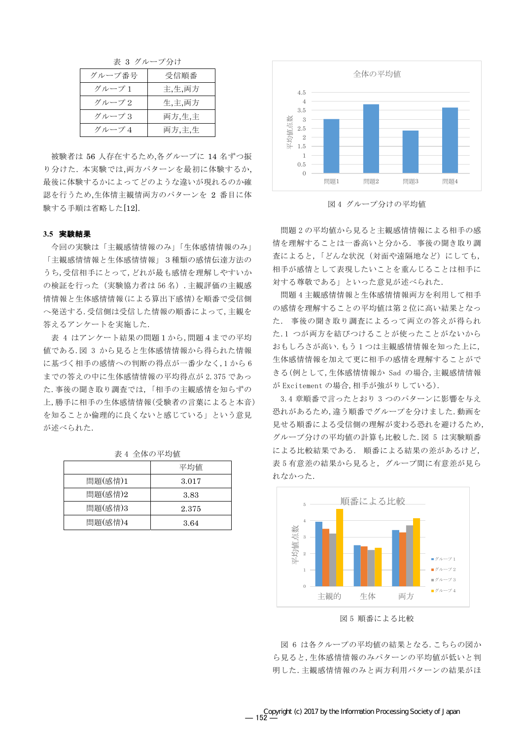表 3 グループ分け

| グループ番号 | 受信順番   |
|--------|--------|
| グループ1  | 主,生,両方 |
| グループ2  | 生,主,両方 |
| グループ3  | 両方,生,主 |
| グループ4  | 両方,主,生 |

被験者は 56 人存在するため,各グループに 14 名ずつ振 り分けた. 本実験では、両方パターンを最初に体験するか、 最後に体験するかによってどのような違いが現れるのか確 認を行うため,生体情主観情両方のパターンを 2 番目に体 験する手順は省略した[12].

#### 3.5 実験結果

今回の実験は「主観感情情報のみ」「生体感情情報のみ」 「主観感情情報と生体感情情報」3種類の感情伝達方法の うち、受信相手にとって、どれが最も感情を理解しやすいか の検証を行った (実験協力者は56名). 主観評価の主観感 情情報と生体感情情報(による算出下感情)を順番で受信側 へ発送する. 受信側は受信した情報の順番によって,主観を 答えるアンケートを実施した.

表 4 はアンケート結果の問題1から,問題4までの平均 値である.図 3 から見ると生体感情情報から得られた情報 に基づく相手の感情への判断の得点が一番少なく,1から6 までの答えの中に生体感情情報の平均得点が 2.375 であっ た. 事後の聞き取り調査では、「相手の主観感情を知らずの 上,勝手に相手の生体感情情報(受験者の言葉によると本音) を知ることか倫理的に良くないと感じている」という意見 が述べられた.

|         | 平均値   |
|---------|-------|
| 問題(感情)1 | 3.017 |
| 問題(感情)2 | 3.83  |
| 問題(感情)3 | 2.375 |
| 問題(感情)4 | 3.64  |

表 4 全体の平均値



図4 グループ分けの平均値

問題2の平均値から見ると主観感情情報による相手の感 情を理解することは一番高いと分かる. 事後の聞き取り調 査によると、「どんな状況(対面や遠隔地など)にしても, 相手が感情として表現したいことを重んじることは相手に 対する尊敬である」といった意見が述べられた.

問題4主観感情情報と生体感情情報両方を利用して相手 の感情を理解することの平均値は第2位に高い結果となっ た. 事後の聞き取り調査によるって両立の答えが得られ た.1 つが両方を結びつけることが使ったことがないから おもしろさが高い. もう1つは主観感情情報を知った上に, 生体感情情報を加えて更に相手の感情を理解することがで きる(例として,生体感情情報か Sad の場合,主観感情情報 が Excitement の場合, 相手が強がりしている).

3.4 章順番で言ったとおり 3 つのパターンに影響を与え 恐れがあるため、違う順番でグループを分けました。動画を 見せる順番による受信側の理解が変わる恐れを避けるため, グループ分けの平均値の計算も比較した. 図 5 は実験順番 による比較結果である. 順番による結果の差があるけど, 表5有意差の結果から見ると、グループ間に有意差が見ら れなかった.



図5 順番による比較

図 6 は各クループの平均値の結果となる. こちらの図か ら見ると,生体感情情報のみパターンの平均値が低いと判 明した. 主観感情情報のみと両方利用パターンの結果がほ